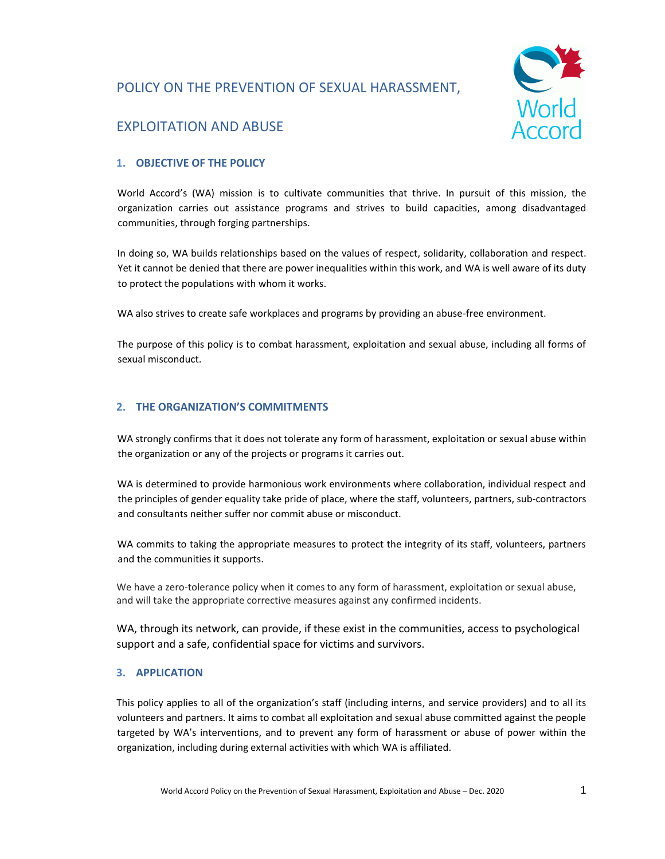# POLICY ON THE PREVENTION OF SEXUAL HARASSMENT,



# EXPLOITATION AND ABUSE

# **1. OBJECTIVE OF THE POLICY**

World Accord's (WA) mission is to cultivate communities that thrive. In pursuit of this mission, the organization carries out assistance programs and strives to build capacities, among disadvantaged communities, through forging partnerships.

In doing so, WA builds relationships based on the values of respect, solidarity, collaboration and respect. Yet it cannot be denied that there are power inequalities within this work, and WA is well aware of its duty to protect the populations with whom it works.

WA also strives to create safe workplaces and programs by providing an abuse-free environment.

The purpose of this policy is to combat harassment, exploitation and sexual abuse, including all forms of sexual misconduct.

## **2. THE ORGANIZATION'S COMMITMENTS**

WA strongly confirms that it does not tolerate any form of harassment, exploitation or sexual abuse within the organization or any of the projects or programs it carries out.

WA is determined to provide harmonious work environments where collaboration, individual respect and the principles of gender equality take pride of place, where the staff, volunteers, partners, sub-contractors and consultants neither suffer nor commit abuse or misconduct.

WA commits to taking the appropriate measures to protect the integrity of its staff, volunteers, partners and the communities it supports.

We have a zero-tolerance policy when it comes to any form of harassment, exploitation or sexual abuse, and will take the appropriate corrective measures against any confirmed incidents.

WA, through its network, can provide, if these exist in the communities, access to psychological support and a safe, confidential space for victims and survivors.

#### **3. APPLICATION**

This policy applies to all of the organization's staff (including interns, and service providers) and to all its volunteers and partners. It aims to combat all exploitation and sexual abuse committed against the people targeted by WA's interventions, and to prevent any form of harassment or abuse of power within the organization, including during external activities with which WA is affiliated.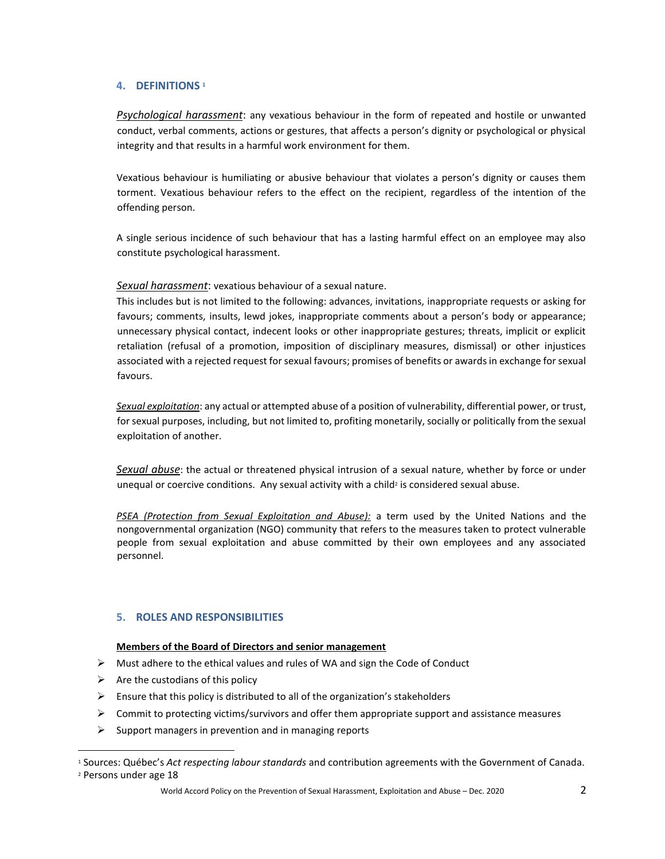## **4. DEFINITIONS <sup>1</sup>**

*Psychological harassment*: any vexatious behaviour in the form of repeated and hostile or unwanted conduct, verbal comments, actions or gestures, that affects a person's dignity or psychological or physical integrity and that results in a harmful work environment for them.

Vexatious behaviour is humiliating or abusive behaviour that violates a person's dignity or causes them torment. Vexatious behaviour refers to the effect on the recipient, regardless of the intention of the offending person.

A single serious incidence of such behaviour that has a lasting harmful effect on an employee may also constitute psychological harassment.

*Sexual harassment*: vexatious behaviour of a sexual nature.

This includes but is not limited to the following: advances, invitations, inappropriate requests or asking for favours; comments, insults, lewd jokes, inappropriate comments about a person's body or appearance; unnecessary physical contact, indecent looks or other inappropriate gestures; threats, implicit or explicit retaliation (refusal of a promotion, imposition of disciplinary measures, dismissal) or other injustices associated with a rejected request for sexual favours; promises of benefits or awards in exchange for sexual favours.

*Sexual exploitation*: any actual or attempted abuse of a position of vulnerability, differential power, or trust, for sexual purposes, including, but not limited to, profiting monetarily, socially or politically from the sexual exploitation of another.

*Sexual abuse*: the actual or threatened physical intrusion of a sexual nature, whether by force or under unequal or coercive conditions. Any sexual activity with a child<sup>2</sup> is considered sexual abuse.

*PSEA (Protection from Sexual Exploitation and Abuse):* a term used by the United Nations and the nongovernmental organization (NGO) community that refers to the measures taken to protect vulnerable people from sexual exploitation and abuse committed by their own employees and any associated personnel.

## **5. ROLES AND RESPONSIBILITIES**

#### **Members of the Board of Directors and senior management**

- $\triangleright$  Must adhere to the ethical values and rules of WA and sign the Code of Conduct
- $\triangleright$  Are the custodians of this policy
- $\triangleright$  Ensure that this policy is distributed to all of the organization's stakeholders
- $\triangleright$  Commit to protecting victims/survivors and offer them appropriate support and assistance measures
- $\triangleright$  Support managers in prevention and in managing reports

World Accord Policy on the Prevention of Sexual Harassment, Exploitation and Abuse – Dec. 2020 2

 $\overline{a}$ <sup>1</sup> Sources: Québec's *Act respecting labour standards* and contribution agreements with the Government of Canada. <sup>2</sup> Persons under age 18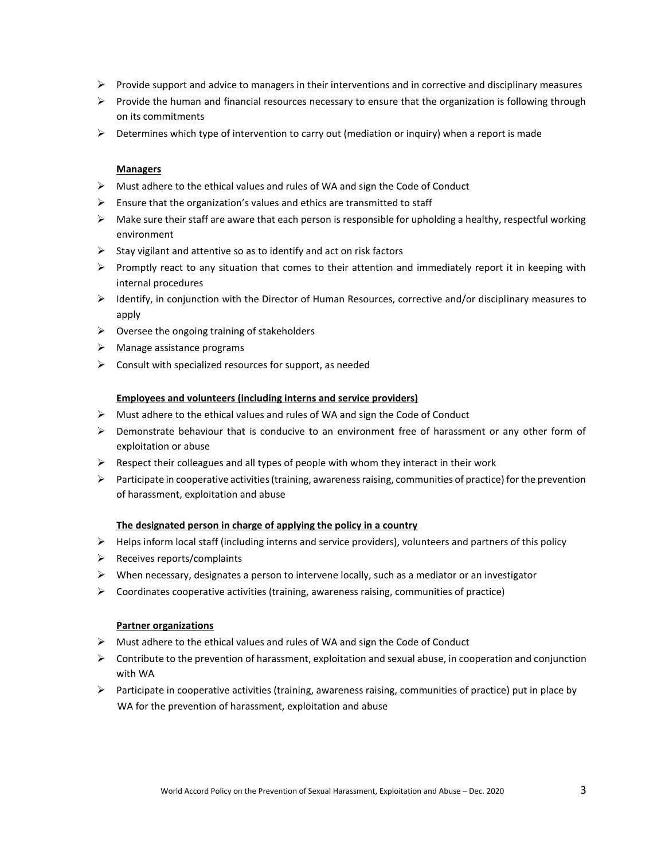- $\triangleright$  Provide support and advice to managers in their interventions and in corrective and disciplinary measures
- $\triangleright$  Provide the human and financial resources necessary to ensure that the organization is following through on its commitments
- $\triangleright$  Determines which type of intervention to carry out (mediation or inquiry) when a report is made

## **Managers**

- $\triangleright$  Must adhere to the ethical values and rules of WA and sign the Code of Conduct
- $\triangleright$  Ensure that the organization's values and ethics are transmitted to staff
- $\triangleright$  Make sure their staff are aware that each person is responsible for upholding a healthy, respectful working environment
- $\triangleright$  Stay vigilant and attentive so as to identify and act on risk factors
- $\triangleright$  Promptly react to any situation that comes to their attention and immediately report it in keeping with internal procedures
- $\triangleright$  Identify, in conjunction with the Director of Human Resources, corrective and/or disciplinary measures to apply
- $\triangleright$  Oversee the ongoing training of stakeholders
- $\triangleright$  Manage assistance programs
- $\triangleright$  Consult with specialized resources for support, as needed

## **Employees and volunteers (including interns and service providers)**

- $\triangleright$  Must adhere to the ethical values and rules of WA and sign the Code of Conduct
- $\triangleright$  Demonstrate behaviour that is conducive to an environment free of harassment or any other form of exploitation or abuse
- $\triangleright$  Respect their colleagues and all types of people with whom they interact in their work
- $\triangleright$  Participate in cooperative activities (training, awareness raising, communities of practice) for the prevention of harassment, exploitation and abuse

#### **The designated person in charge of applying the policy in a country**

- $\triangleright$  Helps inform local staff (including interns and service providers), volunteers and partners of this policy
- $\triangleright$  Receives reports/complaints
- $\triangleright$  When necessary, designates a person to intervene locally, such as a mediator or an investigator
- $\triangleright$  Coordinates cooperative activities (training, awareness raising, communities of practice)

#### **Partner organizations**

- $\triangleright$  Must adhere to the ethical values and rules of WA and sign the Code of Conduct
- $\triangleright$  Contribute to the prevention of harassment, exploitation and sexual abuse, in cooperation and conjunction with WA
- $\triangleright$  Participate in cooperative activities (training, awareness raising, communities of practice) put in place by WA for the prevention of harassment, exploitation and abuse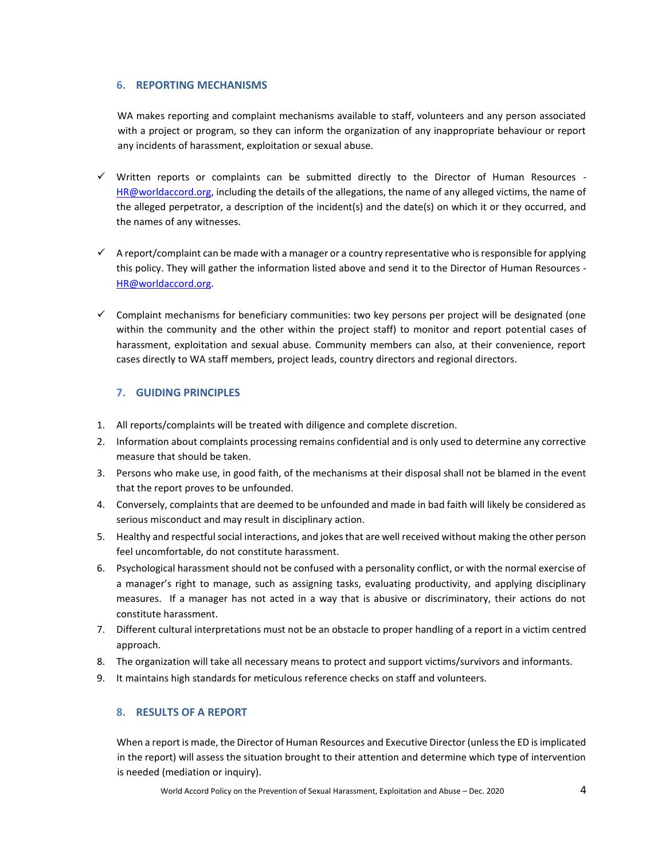## **6. REPORTING MECHANISMS**

WA makes reporting and complaint mechanisms available to staff, volunteers and any person associated with a project or program, so they can inform the organization of any inappropriate behaviour or report any incidents of harassment, exploitation or sexual abuse.

- $\checkmark$  Written reports or complaints can be submitted directly to the Director of Human Resources -HR@worldaccord.org, including the details of the allegations, the name of any alleged victims, the name of the alleged perpetrator, a description of the incident(s) and the date(s) on which it or they occurred, and the names of any witnesses.
- $\checkmark$  A report/complaint can be made with a manager or a country representative who is responsible for applying this policy. They will gather the information listed above and send it to the Director of Human Resources - HR@worldaccord.org.
- $\checkmark$  Complaint mechanisms for beneficiary communities: two key persons per project will be designated (one within the community and the other within the project staff) to monitor and report potential cases of harassment, exploitation and sexual abuse. Community members can also, at their convenience, report cases directly to WA staff members, project leads, country directors and regional directors.

## **7. GUIDING PRINCIPLES**

- 1. All reports/complaints will be treated with diligence and complete discretion.
- 2. Information about complaints processing remains confidential and is only used to determine any corrective measure that should be taken.
- 3. Persons who make use, in good faith, of the mechanisms at their disposal shall not be blamed in the event that the report proves to be unfounded.
- 4. Conversely, complaints that are deemed to be unfounded and made in bad faith will likely be considered as serious misconduct and may result in disciplinary action.
- 5. Healthy and respectful social interactions, and jokes that are well received without making the other person feel uncomfortable, do not constitute harassment.
- 6. Psychological harassment should not be confused with a personality conflict, or with the normal exercise of a manager's right to manage, such as assigning tasks, evaluating productivity, and applying disciplinary measures. If a manager has not acted in a way that is abusive or discriminatory, their actions do not constitute harassment.
- 7. Different cultural interpretations must not be an obstacle to proper handling of a report in a victim centred approach.
- 8. The organization will take all necessary means to protect and support victims/survivors and informants.
- 9. It maintains high standards for meticulous reference checks on staff and volunteers.

# **8. RESULTS OF A REPORT**

When a report is made, the Director of Human Resources and Executive Director (unless the ED is implicated in the report) will assess the situation brought to their attention and determine which type of intervention is needed (mediation or inquiry).